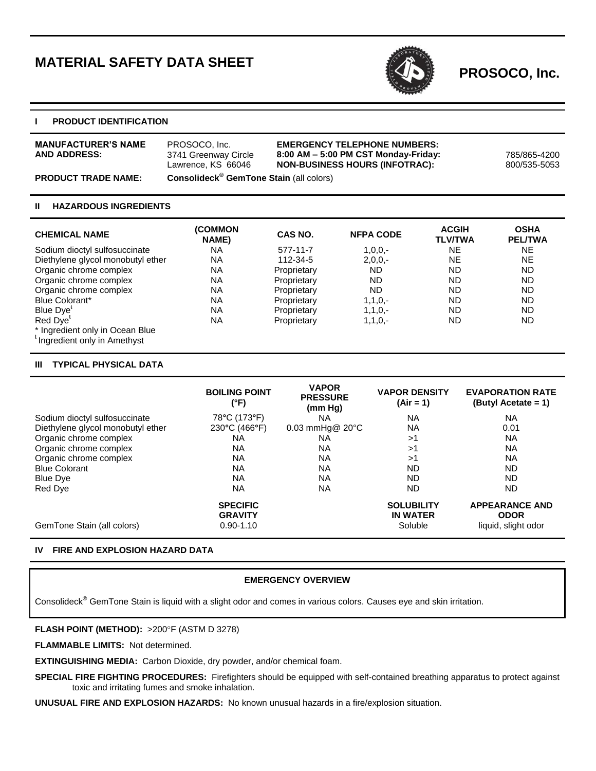# **MATERIAL SAFETY DATA SHEET**



**PROSOCO, Inc.**

## **I PRODUCT IDENTIFICATION**

| <b>MANUFACTURER'S NAME</b><br><b>AND ADDRESS:</b> | PROSOCO, Inc.<br>3741 Greenway Circle<br>Lawrence, KS 66046 | <b>EMERGENCY TELEPHONE NUMBERS:</b><br>$8:00$ AM $-5:00$ PM CST Monday-Friday:<br><b>NON-BUSINESS HOURS (INFOTRAC):</b> | 785/865-4200<br>800/535-5053 |
|---------------------------------------------------|-------------------------------------------------------------|-------------------------------------------------------------------------------------------------------------------------|------------------------------|
| <b>PRODUCT TRADE NAME:</b>                        | <b>Consolideck<sup>®</sup> GemTone Stain</b> (all colors)   |                                                                                                                         |                              |

## **II HAZARDOUS INGREDIENTS**

| <b>CHEMICAL NAME</b>                                                        | <b>(COMMON</b><br>NAME) | CAS NO.     | <b>NFPA CODE</b> | <b>ACGIH</b><br><b>TLV/TWA</b> | <b>OSHA</b><br><b>PEL/TWA</b> |
|-----------------------------------------------------------------------------|-------------------------|-------------|------------------|--------------------------------|-------------------------------|
| Sodium dioctyl sulfosuccinate                                               | <b>NA</b>               | 577-11-7    | $1,0,0,-$        | NE.                            | NE.                           |
| Diethylene glycol monobutyl ether                                           | <b>NA</b>               | 112-34-5    | $2,0,0,-$        | <b>NE</b>                      | NE                            |
| Organic chrome complex                                                      | <b>NA</b>               | Proprietary | <b>ND</b>        | ND                             | ND.                           |
| Organic chrome complex                                                      | <b>NA</b>               | Proprietary | <b>ND</b>        | ND                             | ND.                           |
| Organic chrome complex                                                      | <b>NA</b>               | Proprietary | ND               | ND                             | ND                            |
| Blue Colorant*                                                              | <b>NA</b>               | Proprietary | $1, 1, 0, -$     | ND                             | ND                            |
| Blue Dye <sup>t</sup>                                                       | <b>NA</b>               | Proprietary | $1, 1, 0, -$     | ND                             | <b>ND</b>                     |
| Red Dye <sup>t</sup>                                                        | <b>NA</b>               | Proprietary | $1, 1, 0, -$     | <b>ND</b>                      | <b>ND</b>                     |
| * Ingredient only in Ocean Blue<br><sup>t</sup> Ingredient only in Amethyst |                         |             |                  |                                |                               |

### **III TYPICAL PHYSICAL DATA**

|                                   | <b>BOILING POINT</b><br>(°F)      | <b>VAPOR</b><br><b>PRESSURE</b><br>(mm Hq) | <b>VAPOR DENSITY</b><br>$(Air = 1)$  | <b>EVAPORATION RATE</b><br>(Butyl Acetate $= 1$ ) |
|-----------------------------------|-----------------------------------|--------------------------------------------|--------------------------------------|---------------------------------------------------|
| Sodium dioctyl sulfosuccinate     | 78°C (173°F)                      | ΝA                                         | <b>NA</b>                            | <b>NA</b>                                         |
| Diethylene glycol monobutyl ether | 230°C (466°F)                     | $0.03$ mmHg $@$ 20 $°C$                    | <b>NA</b>                            | 0.01                                              |
| Organic chrome complex            | ΝA                                | NA                                         | >1                                   | <b>NA</b>                                         |
| Organic chrome complex            | ΝA                                | ΝA                                         | >1                                   | <b>NA</b>                                         |
| Organic chrome complex            | ΝA                                | ΝA                                         | >1                                   | <b>NA</b>                                         |
| <b>Blue Colorant</b>              | ΝA                                | ΝA                                         | <b>ND</b>                            | <b>ND</b>                                         |
| <b>Blue Dye</b>                   | NА                                | ΝA                                         | <b>ND</b>                            | <b>ND</b>                                         |
| Red Dye                           | ΝA                                | ΝA                                         | <b>ND</b>                            | <b>ND</b>                                         |
|                                   | <b>SPECIFIC</b><br><b>GRAVITY</b> |                                            | <b>SOLUBILITY</b><br><b>IN WATER</b> | <b>APPEARANCE AND</b><br><b>ODOR</b>              |
| GemTone Stain (all colors)        | $0.90 - 1.10$                     |                                            | Soluble                              | liquid, slight odor                               |

### **IV FIRE AND EXPLOSION HAZARD DATA**

# **EMERGENCY OVERVIEW**

Consolideck® GemTone Stain is liquid with a slight odor and comes in various colors. Causes eye and skin irritation.

#### **FLASH POINT (METHOD): >200°F (ASTM D 3278)**

**FLAMMABLE LIMITS:** Not determined.

**EXTINGUISHING MEDIA:** Carbon Dioxide, dry powder, and/or chemical foam.

**SPECIAL FIRE FIGHTING PROCEDURES:** Firefighters should be equipped with self-contained breathing apparatus to protect against toxic and irritating fumes and smoke inhalation.

**UNUSUAL FIRE AND EXPLOSION HAZARDS:** No known unusual hazards in a fire/explosion situation.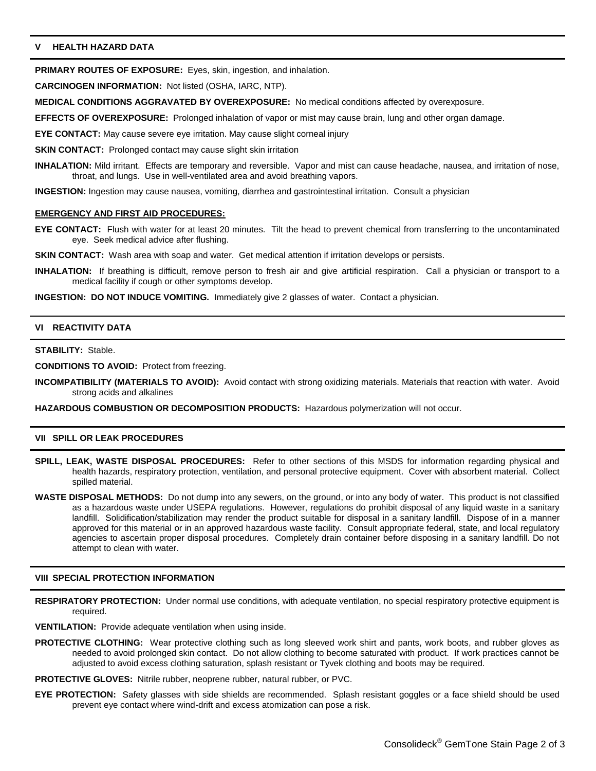# **V HEALTH HAZARD DATA**

**PRIMARY ROUTES OF EXPOSURE:** Eyes, skin, ingestion, and inhalation.

**CARCINOGEN INFORMATION:** Not listed (OSHA, IARC, NTP).

**MEDICAL CONDITIONS AGGRAVATED BY OVEREXPOSURE:** No medical conditions affected by overexposure.

**EFFECTS OF OVEREXPOSURE:** Prolonged inhalation of vapor or mist may cause brain, lung and other organ damage.

**EYE CONTACT:** May cause severe eye irritation. May cause slight corneal injury

**SKIN CONTACT:** Prolonged contact may cause slight skin irritation

**INHALATION:** Mild irritant. Effects are temporary and reversible. Vapor and mist can cause headache, nausea, and irritation of nose, throat, and lungs. Use in well-ventilated area and avoid breathing vapors.

**INGESTION:** Ingestion may cause nausea, vomiting, diarrhea and gastrointestinal irritation. Consult a physician

#### **EMERGENCY AND FIRST AID PROCEDURES:**

**EYE CONTACT:** Flush with water for at least 20 minutes. Tilt the head to prevent chemical from transferring to the uncontaminated eye. Seek medical advice after flushing.

**SKIN CONTACT:** Wash area with soap and water. Get medical attention if irritation develops or persists.

**INHALATION:** If breathing is difficult, remove person to fresh air and give artificial respiration. Call a physician or transport to a medical facility if cough or other symptoms develop.

**INGESTION: DO NOT INDUCE VOMITING.** Immediately give 2 glasses of water. Contact a physician.

# **VI REACTIVITY DATA**

#### **STABILITY:** Stable.

**CONDITIONS TO AVOID:** Protect from freezing.

**INCOMPATIBILITY (MATERIALS TO AVOID):** Avoid contact with strong oxidizing materials. Materials that reaction with water. Avoid strong acids and alkalines

**HAZARDOUS COMBUSTION OR DECOMPOSITION PRODUCTS:** Hazardous polymerization will not occur.

#### **VII SPILL OR LEAK PROCEDURES**

- **SPILL, LEAK, WASTE DISPOSAL PROCEDURES:** Refer to other sections of this MSDS for information regarding physical and health hazards, respiratory protection, ventilation, and personal protective equipment. Cover with absorbent material. Collect spilled material.
- **WASTE DISPOSAL METHODS:** Do not dump into any sewers, on the ground, or into any body of water. This product is not classified as a hazardous waste under USEPA regulations. However, regulations do prohibit disposal of any liquid waste in a sanitary landfill. Solidification/stabilization may render the product suitable for disposal in a sanitary landfill. Dispose of in a manner approved for this material or in an approved hazardous waste facility. Consult appropriate federal, state, and local regulatory agencies to ascertain proper disposal procedures. Completely drain container before disposing in a sanitary landfill. Do not attempt to clean with water.

#### **VIII SPECIAL PROTECTION INFORMATION**

- **RESPIRATORY PROTECTION:** Under normal use conditions, with adequate ventilation, no special respiratory protective equipment is required.
- **VENTILATION:** Provide adequate ventilation when using inside.
- **PROTECTIVE CLOTHING:** Wear protective clothing such as long sleeved work shirt and pants, work boots, and rubber gloves as needed to avoid prolonged skin contact. Do not allow clothing to become saturated with product. If work practices cannot be adjusted to avoid excess clothing saturation, splash resistant or Tyvek clothing and boots may be required.
- **PROTECTIVE GLOVES:** Nitrile rubber, neoprene rubber, natural rubber, or PVC.
- **EYE PROTECTION:** Safety glasses with side shields are recommended. Splash resistant goggles or a face shield should be used prevent eye contact where wind-drift and excess atomization can pose a risk.